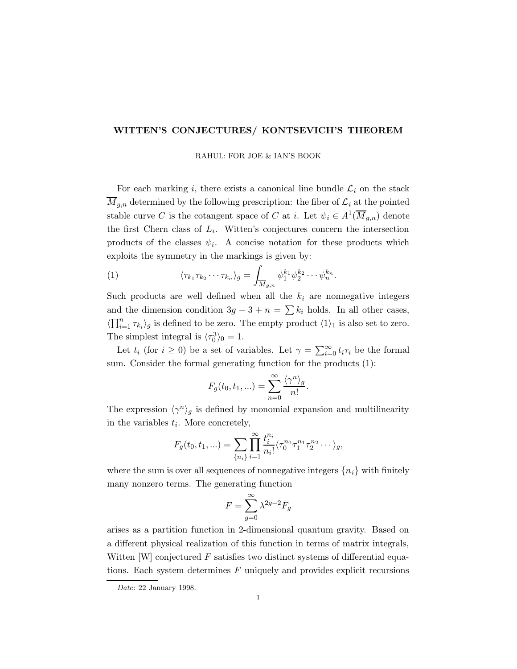## WITTEN'S CONJECTURES/ KONTSEVICH'S THEOREM

RAHUL: FOR JOE & IAN'S BOOK

For each marking i, there exists a canonical line bundle  $\mathcal{L}_i$  on the stack  $\overline{M}_{g,n}$  determined by the following prescription: the fiber of  $\mathcal{L}_i$  at the pointed stable curve C is the cotangent space of C at i. Let  $\psi_i \in A^1(\overline{M}_{g,n})$  denote the first Chern class of  $L_i$ . Witten's conjectures concern the intersection products of the classes  $\psi_i$ . A concise notation for these products which exploits the symmetry in the markings is given by:

(1) 
$$
\langle \tau_{k_1} \tau_{k_2} \cdots \tau_{k_n} \rangle_g = \int_{\overline{M}_{g,n}} \psi_1^{k_1} \psi_2^{k_2} \cdots \psi_n^{k_n}.
$$

Such products are well defined when all the  $k_i$  are nonnegative integers and the dimension condition  $3g - 3 + n = \sum k_i$  holds. In all other cases,  $\langle \prod_{i=1}^n \tau_{k_i} \rangle_g$  is defined to be zero. The empty product  $\langle 1 \rangle_1$  is also set to zero. The simplest integral is  $\langle \tau_0^3 \rangle_0 = 1$ .

Let  $t_i$  (for  $i \geq 0$ ) be a set of variables. Let  $\gamma = \sum_{i=0}^{\infty} t_i \tau_i$  be the formal sum. Consider the formal generating function for the products (1):

$$
F_g(t_0, t_1, \ldots) = \sum_{n=0}^{\infty} \frac{\langle \gamma^n \rangle_g}{n!}.
$$

The expression  $\langle \gamma^n \rangle_g$  is defined by monomial expansion and multilinearity in the variables  $t_i$ . More concretely,

$$
F_g(t_0, t_1, \ldots) = \sum_{\{n_i\}} \prod_{i=1}^{\infty} \frac{t_i^{n_i}}{n_i!} \langle \tau_0^{n_0} \tau_1^{n_1} \tau_2^{n_2} \cdots \rangle_g,
$$

where the sum is over all sequences of nonnegative integers  $\{n_i\}$  with finitely many nonzero terms. The generating function

$$
F = \sum_{g=0}^{\infty} \lambda^{2g-2} F_g
$$

arises as a partition function in 2-dimensional quantum gravity. Based on a different physical realization of this function in terms of matrix integrals, Witten  $[W]$  conjectured  $F$  satisfies two distinct systems of differential equations. Each system determines  $F$  uniquely and provides explicit recursions

Date: 22 January 1998.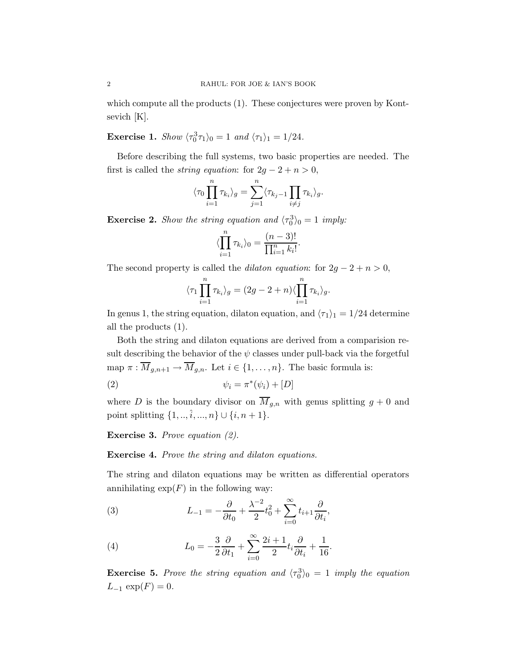which compute all the products  $(1)$ . These conjectures were proven by Kontsevich [K].

**Exercise 1.** Show  $\langle \tau_0^3 \tau_1 \rangle_0 = 1$  and  $\langle \tau_1 \rangle_1 = 1/24$ .

Before describing the full systems, two basic properties are needed. The first is called the *string equation*: for  $2g - 2 + n > 0$ ,

$$
\langle \tau_0 \prod_{i=1}^n \tau_{k_i} \rangle_g = \sum_{j=1}^n \langle \tau_{k_j-1} \prod_{i \neq j} \tau_{k_i} \rangle_g.
$$

**Exercise 2.** Show the string equation and  $\langle \tau_0^3 \rangle_0 = 1$  imply:

$$
\langle \prod_{i=1}^n \tau_{k_i} \rangle_0 = \frac{(n-3)!}{\prod_{i=1}^n k_i!}.
$$

The second property is called the *dilaton equation*: for  $2g - 2 + n > 0$ ,

$$
\langle \tau_1 \prod_{i=1}^n \tau_{k_i} \rangle_g = (2g - 2 + n) \langle \prod_{i=1}^n \tau_{k_i} \rangle_g.
$$

In genus 1, the string equation, dilaton equation, and  $\langle \tau_1 \rangle_1 = 1/24$  determine all the products (1).

Both the string and dilaton equations are derived from a comparision result describing the behavior of the  $\psi$  classes under pull-back via the forgetful map  $\pi : \overline{M}_{g,n+1} \to \overline{M}_{g,n}$ . Let  $i \in \{1, \ldots, n\}$ . The basic formula is:

$$
\psi_i = \pi^*(\psi_i) + [D]
$$

where D is the boundary divisor on  $\overline{M}_{g,n}$  with genus splitting  $g + 0$  and point splitting  $\{1, ..., \hat{i}, ..., n\} \cup \{i, n + 1\}.$ 

Exercise 3. Prove equation (2).

## Exercise 4. Prove the string and dilaton equations.

The string and dilaton equations may be written as differential operators annihilating  $\exp(F)$  in the following way:

(3) 
$$
L_{-1} = -\frac{\partial}{\partial t_0} + \frac{\lambda^{-2}}{2}t_0^2 + \sum_{i=0}^{\infty} t_{i+1} \frac{\partial}{\partial t_i},
$$

(4) 
$$
L_0 = -\frac{3}{2}\frac{\partial}{\partial t_1} + \sum_{i=0}^{\infty} \frac{2i+1}{2} t_i \frac{\partial}{\partial t_i} + \frac{1}{16}.
$$

**Exercise 5.** Prove the string equation and  $\langle \tau_0^3 \rangle_0 = 1$  imply the equation  $L_{-1} \exp(F) = 0.$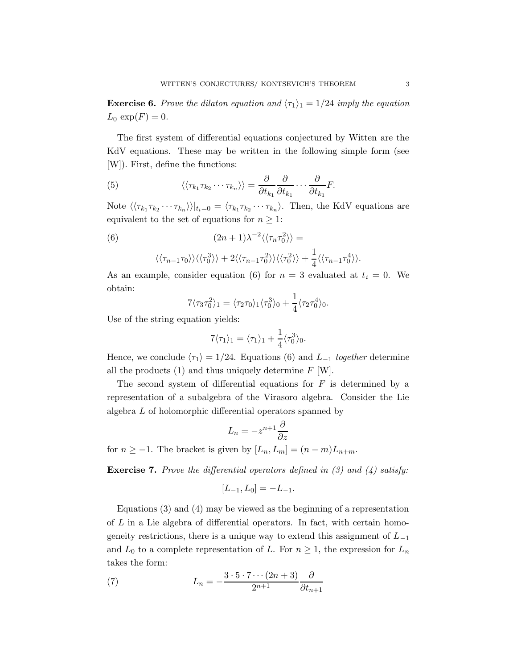**Exercise 6.** Prove the dilaton equation and  $\langle \tau_1 \rangle_1 = 1/24$  imply the equation  $L_0 \exp(F) = 0.$ 

The first system of differential equations conjectured by Witten are the KdV equations. These may be written in the following simple form (see [W]). First, define the functions:

(5) 
$$
\langle \langle \tau_{k_1} \tau_{k_2} \cdots \tau_{k_n} \rangle \rangle = \frac{\partial}{\partial t_{k_1}} \frac{\partial}{\partial t_{k_1}} \cdots \frac{\partial}{\partial t_{k_1}} F.
$$

Note  $\langle\langle \tau_{k_1}\tau_{k_2}\cdots\tau_{k_n}\rangle\rangle|_{t_i=0} = \langle \tau_{k_1}\tau_{k_2}\cdots\tau_{k_n}\rangle$ . Then, the KdV equations are equivalent to the set of equations for  $n \geq 1$ :

(6) 
$$
(2n+1)\lambda^{-2}\langle\langle\tau_n\tau_0^2\rangle\rangle =
$$

$$
\langle\langle\tau_{n-1}\tau_0\rangle\rangle\langle\langle\tau_0^3\rangle\rangle + 2\langle\langle\tau_{n-1}\tau_0^2\rangle\rangle\langle\langle\tau_0^2\rangle\rangle + \frac{1}{4}\langle\langle\tau_{n-1}\tau_0^4\rangle\rangle.
$$

As an example, consider equation (6) for  $n = 3$  evaluated at  $t_i = 0$ . We obtain:

$$
7\langle \tau_3 \tau_0^2 \rangle_1 = \langle \tau_2 \tau_0 \rangle_1 \langle \tau_0^3 \rangle_0 + \frac{1}{4} \langle \tau_2 \tau_0^4 \rangle_0.
$$

Use of the string equation yields:

$$
7\langle \tau_1 \rangle_1 = \langle \tau_1 \rangle_1 + \frac{1}{4} \langle \tau_0^3 \rangle_0.
$$

Hence, we conclude  $\langle \tau_1 \rangle = 1/24$ . Equations (6) and L<sub>-1</sub> together determine all the products  $(1)$  and thus uniquely determine  $F$  [W].

The second system of differential equations for  $F$  is determined by a representation of a subalgebra of the Virasoro algebra. Consider the Lie algebra L of holomorphic differential operators spanned by

$$
L_n = -z^{n+1} \frac{\partial}{\partial z}
$$

for  $n \ge -1$ . The bracket is given by  $[L_n, L_m] = (n - m)L_{n+m}$ .

**Exercise 7.** Prove the differential operators defined in  $(3)$  and  $(4)$  satisfy:

$$
[L_{-1}, L_0] = -L_{-1}.
$$

Equations (3) and (4) may be viewed as the beginning of a representation of L in a Lie algebra of differential operators. In fact, with certain homogeneity restrictions, there is a unique way to extend this assignment of  $L_{-1}$ and  $L_0$  to a complete representation of L. For  $n \geq 1$ , the expression for  $L_n$ takes the form:

(7) 
$$
L_n = -\frac{3 \cdot 5 \cdot 7 \cdots (2n+3)}{2^{n+1}} \frac{\partial}{\partial t_{n+1}}
$$